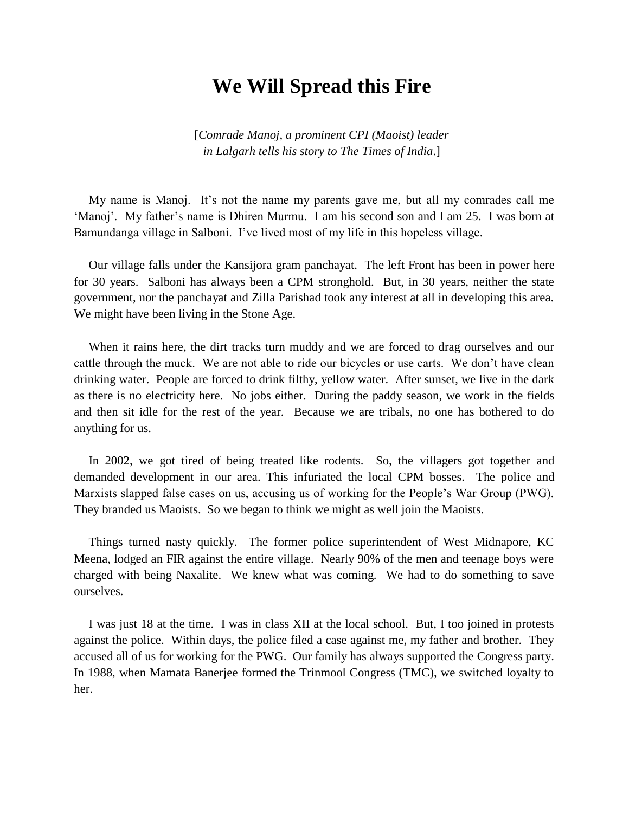## **We Will Spread this Fire**

[*Comrade Manoj, a prominent CPI (Maoist) leader in Lalgarh tells his story to The Times of India*.]

My name is Manoj. It's not the name my parents gave me, but all my comrades call me 'Manoj'. My father's name is Dhiren Murmu. I am his second son and I am 25. I was born at Bamundanga village in Salboni. I've lived most of my life in this hopeless village.

Our village falls under the Kansijora gram panchayat. The left Front has been in power here for 30 years. Salboni has always been a CPM stronghold. But, in 30 years, neither the state government, nor the panchayat and Zilla Parishad took any interest at all in developing this area. We might have been living in the Stone Age.

When it rains here, the dirt tracks turn muddy and we are forced to drag ourselves and our cattle through the muck. We are not able to ride our bicycles or use carts. We don't have clean drinking water. People are forced to drink filthy, yellow water. After sunset, we live in the dark as there is no electricity here. No jobs either. During the paddy season, we work in the fields and then sit idle for the rest of the year. Because we are tribals, no one has bothered to do anything for us.

In 2002, we got tired of being treated like rodents. So, the villagers got together and demanded development in our area. This infuriated the local CPM bosses. The police and Marxists slapped false cases on us, accusing us of working for the People's War Group (PWG). They branded us Maoists. So we began to think we might as well join the Maoists.

Things turned nasty quickly. The former police superintendent of West Midnapore, KC Meena, lodged an FIR against the entire village. Nearly 90% of the men and teenage boys were charged with being Naxalite. We knew what was coming. We had to do something to save ourselves.

I was just 18 at the time. I was in class XII at the local school. But, I too joined in protests against the police. Within days, the police filed a case against me, my father and brother. They accused all of us for working for the PWG. Our family has always supported the Congress party. In 1988, when Mamata Banerjee formed the Trinmool Congress (TMC), we switched loyalty to her.